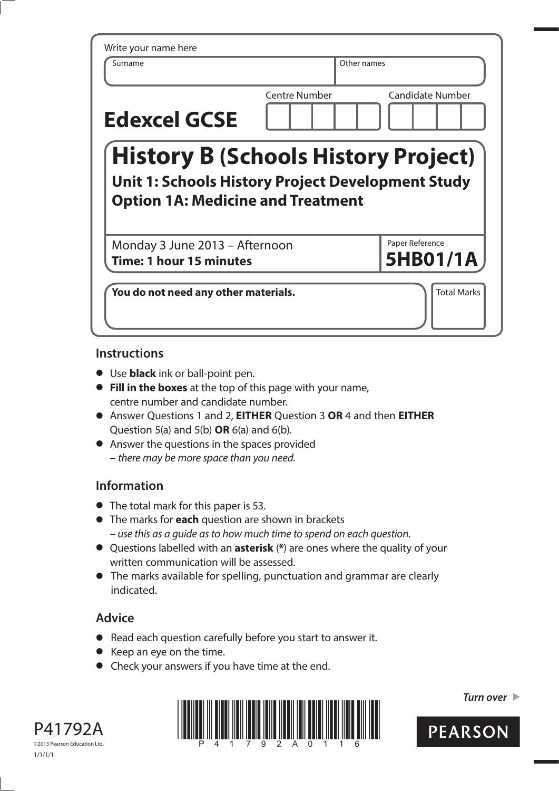| Write your name here<br>Surname                                  | Other names                                                                                            |  |
|------------------------------------------------------------------|--------------------------------------------------------------------------------------------------------|--|
| <b>Edexcel GCSE</b>                                              | <b>Candidate Number</b><br>Centre Number                                                               |  |
|                                                                  |                                                                                                        |  |
| <b>Option 1A: Medicine and Treatment</b>                         | <b>History B (Schools History Project)</b><br><b>Unit 1: Schools History Project Development Study</b> |  |
| Monday 3 June 2013 - Afternoon<br><b>Time: 1 hour 15 minutes</b> | Paper Reference<br><b>5HB01/1A</b>                                                                     |  |

## **Instructions**

- **•** Use **black** ink or ball-point pen.
- **• Fill in the boxes** at the top of this page with your name, centre number and candidate number.
- **•** Answer Questions 1 and 2, **EITHER** Question 3 **OR** 4 and then **EITHER** Question 5(a) and 5(b) **OR** 6(a) and 6(b).
- **•** Answer the questions in the spaces provided – *there may be more space than you need*.

## **Information**

- **•** The total mark for this paper is 53.
- **•** The marks for **each** question are shown in brackets *– use this as a guide as to how much time to spend on each question.*
- **•** Questions labelled with an **asterisk** (**\***) are ones where the quality of your written communication will be assessed.
- **•** The marks available for spelling, punctuation and grammar are clearly indicated.

# **Advice**

- **•** Read each question carefully before you start to answer it.
- **•** Keep an eye on the time.
- **•** Check your answers if you have time at the end.





*Turn over* 

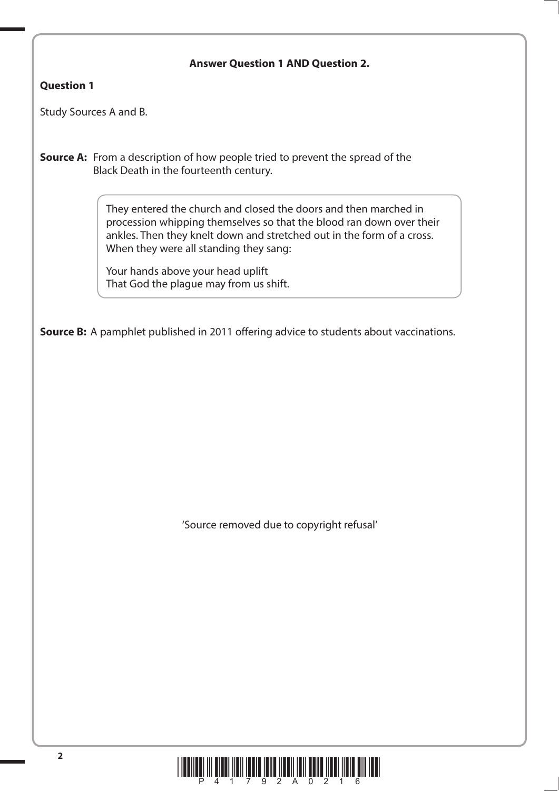#### **Answer Question 1 AND Question 2.**

#### **Question 1**

Study Sources A and B.

**Source A:** From a description of how people tried to prevent the spread of the Black Death in the fourteenth century.

> They entered the church and closed the doors and then marched in procession whipping themselves so that the blood ran down over their ankles. Then they knelt down and stretched out in the form of a cross. When they were all standing they sang:

Your hands above your head uplift That God the plague may from us shift.

**Source B:** A pamphlet published in 2011 offering advice to students about vaccinations.

'Source removed due to copyright refusal'

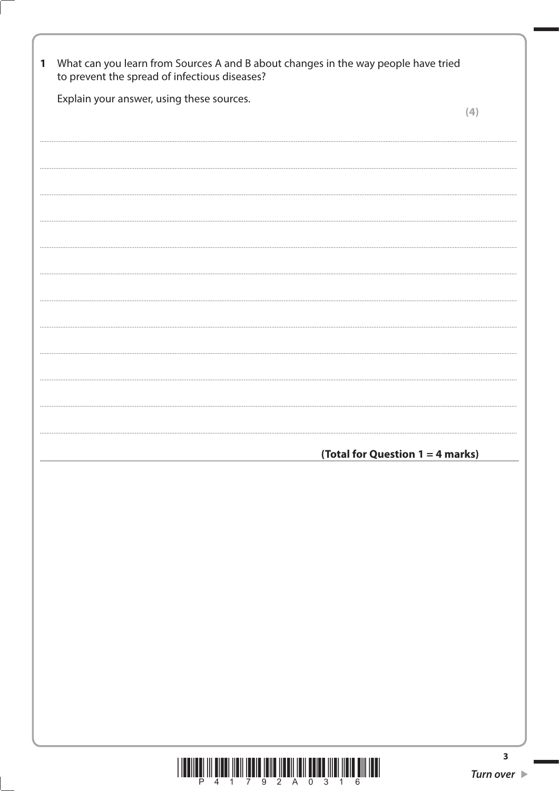| $\mathbf{1}$ | What can you learn from Sources A and B about changes in the way people have tried<br>to prevent the spread of infectious diseases? |     |  |  |  |
|--------------|-------------------------------------------------------------------------------------------------------------------------------------|-----|--|--|--|
|              | Explain your answer, using these sources.                                                                                           | (4) |  |  |  |
|              |                                                                                                                                     |     |  |  |  |
|              |                                                                                                                                     |     |  |  |  |
|              |                                                                                                                                     |     |  |  |  |
|              |                                                                                                                                     |     |  |  |  |
|              |                                                                                                                                     |     |  |  |  |
|              |                                                                                                                                     |     |  |  |  |
|              |                                                                                                                                     |     |  |  |  |
|              | (Total for Question 1 = 4 marks)                                                                                                    |     |  |  |  |
|              |                                                                                                                                     |     |  |  |  |
|              |                                                                                                                                     |     |  |  |  |
|              |                                                                                                                                     |     |  |  |  |
|              |                                                                                                                                     |     |  |  |  |
|              |                                                                                                                                     |     |  |  |  |
|              |                                                                                                                                     |     |  |  |  |
|              |                                                                                                                                     | 3   |  |  |  |

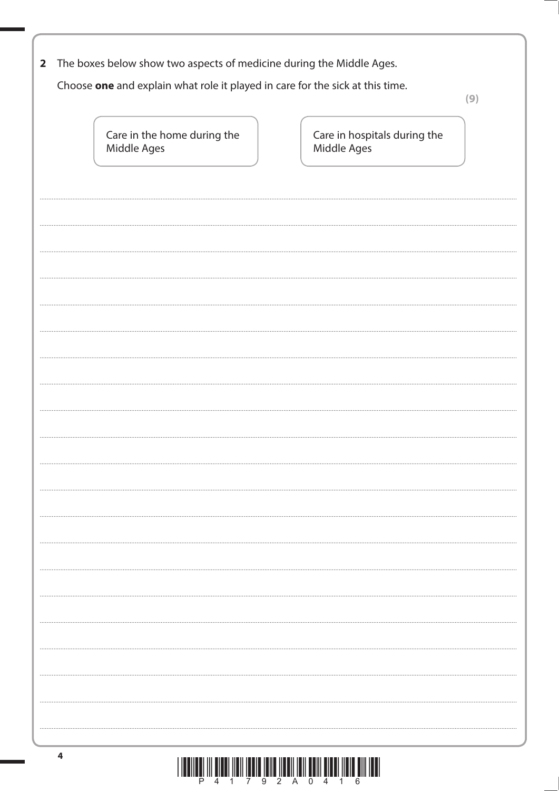| $\overline{\mathbf{2}}$ | The boxes below show two aspects of medicine during the Middle Ages.<br>Choose one and explain what role it played in care for the sick at this time. |                                             | (9) |
|-------------------------|-------------------------------------------------------------------------------------------------------------------------------------------------------|---------------------------------------------|-----|
|                         | Care in the home during the<br>Middle Ages                                                                                                            | Care in hospitals during the<br>Middle Ages |     |
|                         |                                                                                                                                                       |                                             |     |
|                         |                                                                                                                                                       |                                             |     |
|                         |                                                                                                                                                       |                                             |     |
|                         |                                                                                                                                                       |                                             |     |
|                         |                                                                                                                                                       |                                             |     |
|                         |                                                                                                                                                       |                                             |     |
|                         |                                                                                                                                                       |                                             |     |
|                         |                                                                                                                                                       |                                             |     |
|                         |                                                                                                                                                       |                                             |     |
| 4                       |                                                                                                                                                       |                                             |     |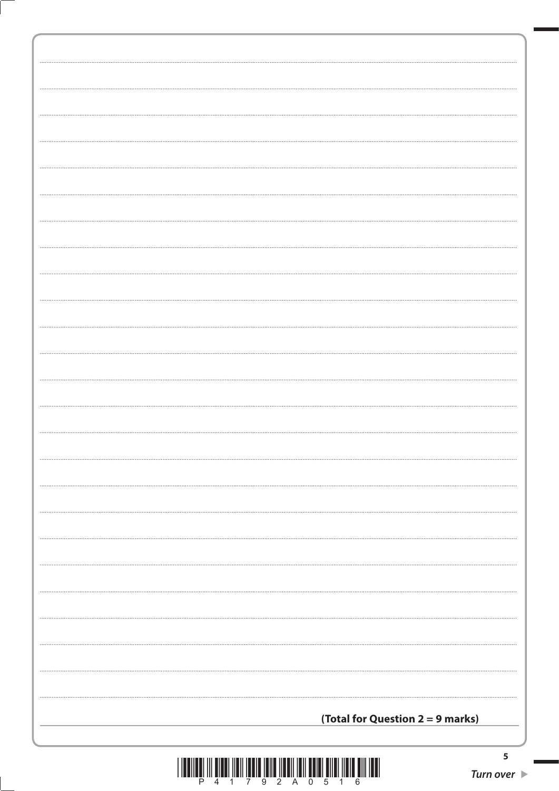| (Total for Question 2 = 9 marks) |
|----------------------------------|
|                                  |



5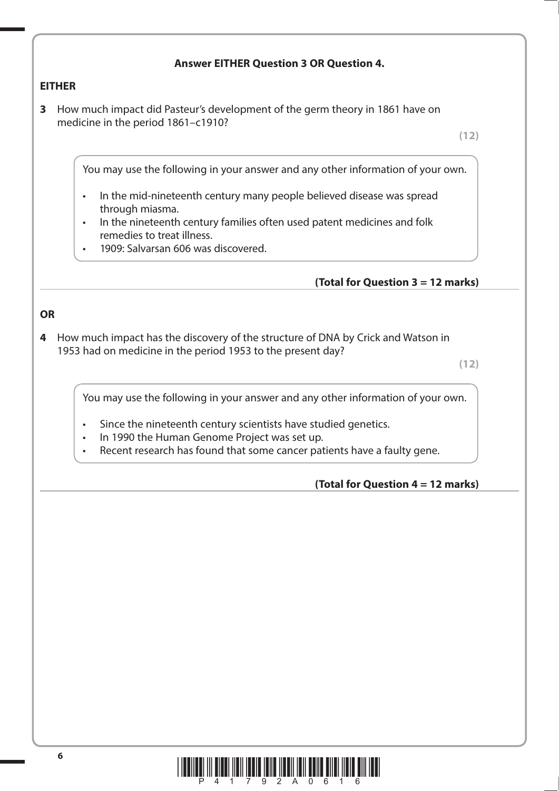## **Answer EITHER Question 3 OR Question 4.**

## **EITHER**

**3** How much impact did Pasteur's development of the germ theory in 1861 have on medicine in the period 1861–c1910?

**(12)**

You may use the following in your answer and any other information of your own.

- In the mid-nineteenth century many people believed disease was spread through miasma.
- In the nineteenth century families often used patent medicines and folk remedies to treat illness.
- 1909: Salvarsan 606 was discovered.

#### **(Total for Question 3 = 12 marks)**

#### **OR**

**4** How much impact has the discovery of the structure of DNA by Crick and Watson in 1953 had on medicine in the period 1953 to the present day?

**(12)**

You may use the following in your answer and any other information of your own.

- Since the nineteenth century scientists have studied genetics.
- In 1990 the Human Genome Project was set up.
- Recent research has found that some cancer patients have a faulty gene.

## **(Total for Question 4 = 12 marks)**

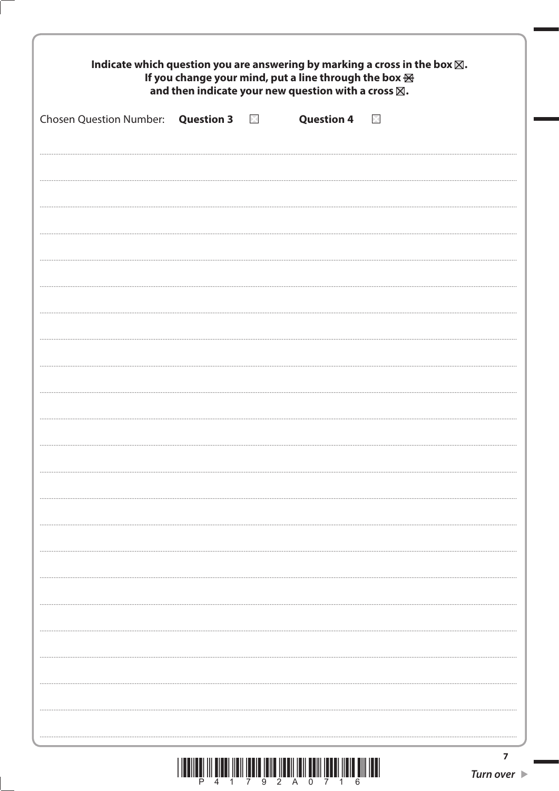| Indicate which question you are answering by marking a cross in the box $\boxtimes$ .<br>If you change your mind, put a line through the box $\boxtimes$<br>and then indicate your new question with a cross $\boxtimes$ . |  |   |                                                                      |  |                               |
|----------------------------------------------------------------------------------------------------------------------------------------------------------------------------------------------------------------------------|--|---|----------------------------------------------------------------------|--|-------------------------------|
| Chosen Question Number: Question 3                                                                                                                                                                                         |  |   | Question 4                                                           |  |                               |
|                                                                                                                                                                                                                            |  |   |                                                                      |  |                               |
|                                                                                                                                                                                                                            |  |   |                                                                      |  |                               |
|                                                                                                                                                                                                                            |  |   |                                                                      |  |                               |
|                                                                                                                                                                                                                            |  |   |                                                                      |  |                               |
|                                                                                                                                                                                                                            |  |   |                                                                      |  |                               |
|                                                                                                                                                                                                                            |  |   |                                                                      |  |                               |
|                                                                                                                                                                                                                            |  |   |                                                                      |  |                               |
|                                                                                                                                                                                                                            |  |   |                                                                      |  |                               |
|                                                                                                                                                                                                                            |  |   |                                                                      |  |                               |
|                                                                                                                                                                                                                            |  |   |                                                                      |  |                               |
|                                                                                                                                                                                                                            |  |   |                                                                      |  |                               |
|                                                                                                                                                                                                                            |  |   |                                                                      |  |                               |
|                                                                                                                                                                                                                            |  |   |                                                                      |  |                               |
|                                                                                                                                                                                                                            |  |   |                                                                      |  |                               |
|                                                                                                                                                                                                                            |  |   |                                                                      |  |                               |
|                                                                                                                                                                                                                            |  |   |                                                                      |  |                               |
|                                                                                                                                                                                                                            |  |   |                                                                      |  |                               |
|                                                                                                                                                                                                                            |  |   |                                                                      |  |                               |
|                                                                                                                                                                                                                            |  |   |                                                                      |  |                               |
|                                                                                                                                                                                                                            |  | 2 | <u>HENER MEDELINI ILIH KULTURI ILIH KELIMI ILIH KULTURI ILI</u><br>7 |  | $\overline{7}$<br>Turn over 1 |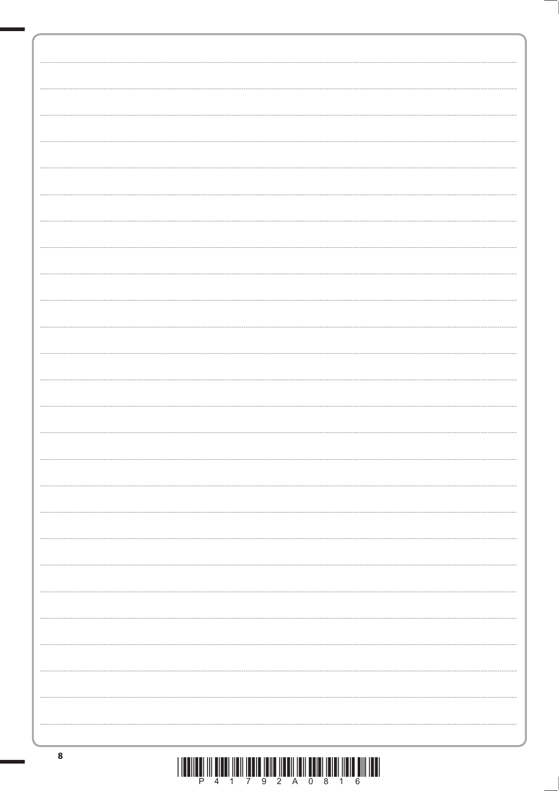| 8 |  |  |  |  |
|---|--|--|--|--|
|   |  |  |  |  |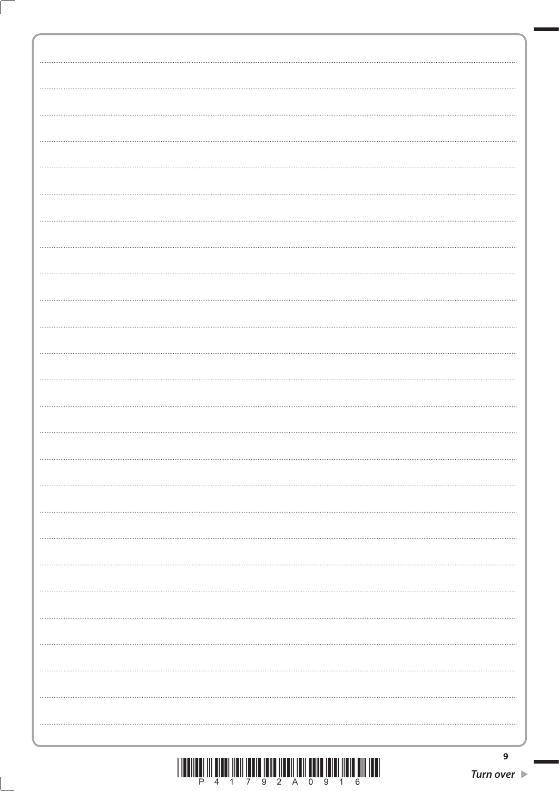| 9 |
|---|

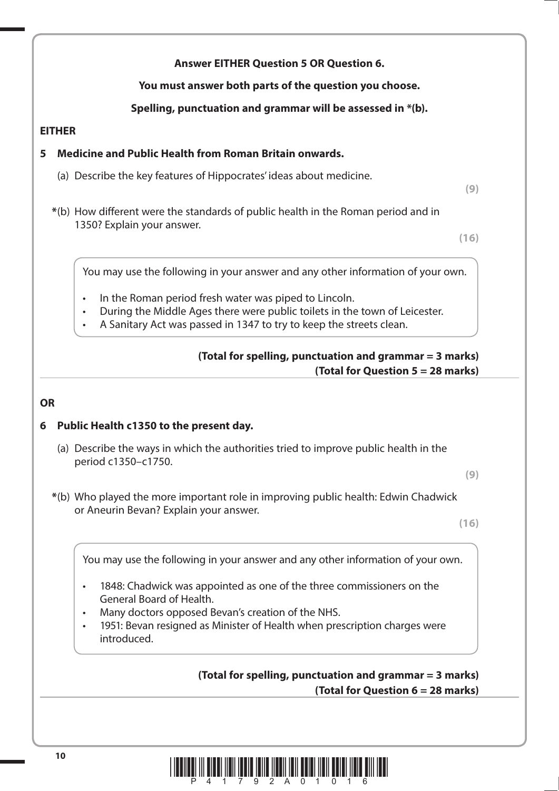## **Answer EITHER Question 5 OR Question 6.**

#### **You must answer both parts of the question you choose.**

## **Spelling, punctuation and grammar will be assessed in \*(b).**

#### **EITHER**

#### **5 Medicine and Public Health from Roman Britain onwards.**

(a) Describe the key features of Hippocrates' ideas about medicine.

**(9)**

 **\***(b) How different were the standards of public health in the Roman period and in 1350? Explain your answer.

**(16)**

You may use the following in your answer and any other information of your own.

- In the Roman period fresh water was piped to Lincoln.
- During the Middle Ages there were public toilets in the town of Leicester.
- A Sanitary Act was passed in 1347 to try to keep the streets clean.

## **(Total for spelling, punctuation and grammar = 3 marks) (Total for Question 5 = 28 marks)**

#### **OR**

## **6 Public Health c1350 to the present day.**

(a) Describe the ways in which the authorities tried to improve public health in the period c1350–c1750.

**(9)**

 **\***(b) Who played the more important role in improving public health: Edwin Chadwick or Aneurin Bevan? Explain your answer.

**(16)**

You may use the following in your answer and any other information of your own.

- 1848: Chadwick was appointed as one of the three commissioners on the General Board of Health.
- Many doctors opposed Bevan's creation of the NHS.
- 1951: Bevan resigned as Minister of Health when prescription charges were introduced.

## **(Total for spelling, punctuation and grammar = 3 marks) (Total for Question 6 = 28 marks)**

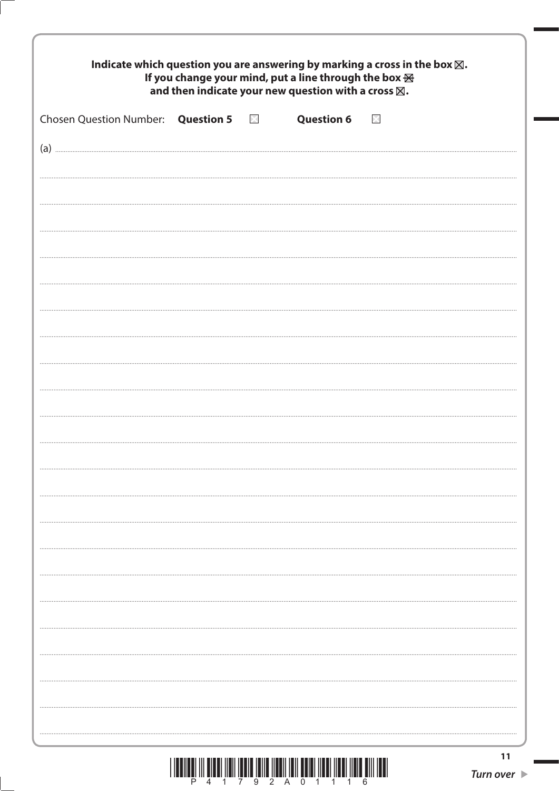| Indicate which question you are answering by marking a cross in the box $\boxtimes$ .<br>If you change your mind, put a line through the box $\boxtimes$<br>and then indicate your new question with a cross $\boxtimes$ . |  |  |    |  |  |  |
|----------------------------------------------------------------------------------------------------------------------------------------------------------------------------------------------------------------------------|--|--|----|--|--|--|
| Chosen Question Number: Question 5 2 Question 6 2                                                                                                                                                                          |  |  |    |  |  |  |
|                                                                                                                                                                                                                            |  |  |    |  |  |  |
|                                                                                                                                                                                                                            |  |  |    |  |  |  |
|                                                                                                                                                                                                                            |  |  |    |  |  |  |
|                                                                                                                                                                                                                            |  |  |    |  |  |  |
|                                                                                                                                                                                                                            |  |  |    |  |  |  |
|                                                                                                                                                                                                                            |  |  |    |  |  |  |
|                                                                                                                                                                                                                            |  |  |    |  |  |  |
|                                                                                                                                                                                                                            |  |  |    |  |  |  |
|                                                                                                                                                                                                                            |  |  |    |  |  |  |
|                                                                                                                                                                                                                            |  |  |    |  |  |  |
|                                                                                                                                                                                                                            |  |  |    |  |  |  |
|                                                                                                                                                                                                                            |  |  |    |  |  |  |
|                                                                                                                                                                                                                            |  |  |    |  |  |  |
|                                                                                                                                                                                                                            |  |  |    |  |  |  |
|                                                                                                                                                                                                                            |  |  |    |  |  |  |
|                                                                                                                                                                                                                            |  |  |    |  |  |  |
|                                                                                                                                                                                                                            |  |  |    |  |  |  |
|                                                                                                                                                                                                                            |  |  |    |  |  |  |
|                                                                                                                                                                                                                            |  |  |    |  |  |  |
|                                                                                                                                                                                                                            |  |  |    |  |  |  |
|                                                                                                                                                                                                                            |  |  |    |  |  |  |
|                                                                                                                                                                                                                            |  |  |    |  |  |  |
|                                                                                                                                                                                                                            |  |  |    |  |  |  |
|                                                                                                                                                                                                                            |  |  | 11 |  |  |  |

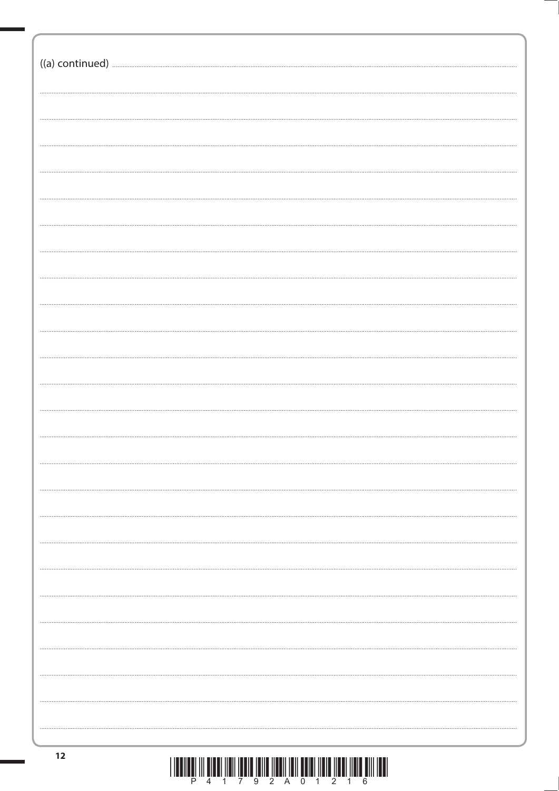| 12 |  |
|----|--|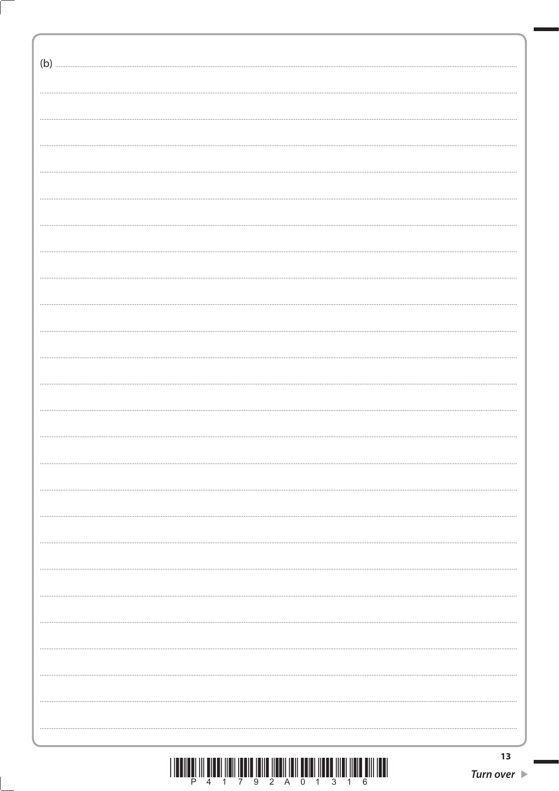| 13<br>Turn over |
|-----------------|
|                 |
|                 |
|                 |
|                 |
|                 |
|                 |
|                 |
|                 |
|                 |
|                 |
|                 |
|                 |
|                 |
|                 |
|                 |
|                 |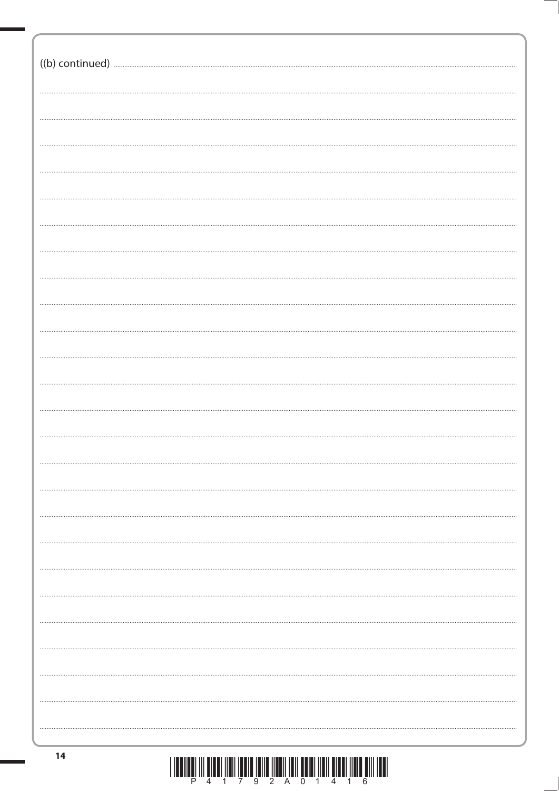| 14<br>$\begin{array}{c} \text{if} \ \text{if} \ \text{if} \ \text{if} \ \text{if} \ \text{if} \ \text{if} \ \text{if} \ \text{if} \ \text{if} \ \text{if} \ \text{if} \ \text{if} \ \text{if} \ \text{if} \ \text{if} \ \text{if} \ \text{if} \ \text{if} \ \text{if} \ \text{if} \ \text{if} \ \text{if} \ \text{if} \ \text{if} \ \text{if} \ \text{if} \ \text{if} \ \text{if} \ \text{if} \ \text{if} \ \text{if} \ \text{if} \ \text{if} \ \text{if} \ \text{$ |  |
|---------------------------------------------------------------------------------------------------------------------------------------------------------------------------------------------------------------------------------------------------------------------------------------------------------------------------------------------------------------------------------------------------------------------------------------------------------------------|--|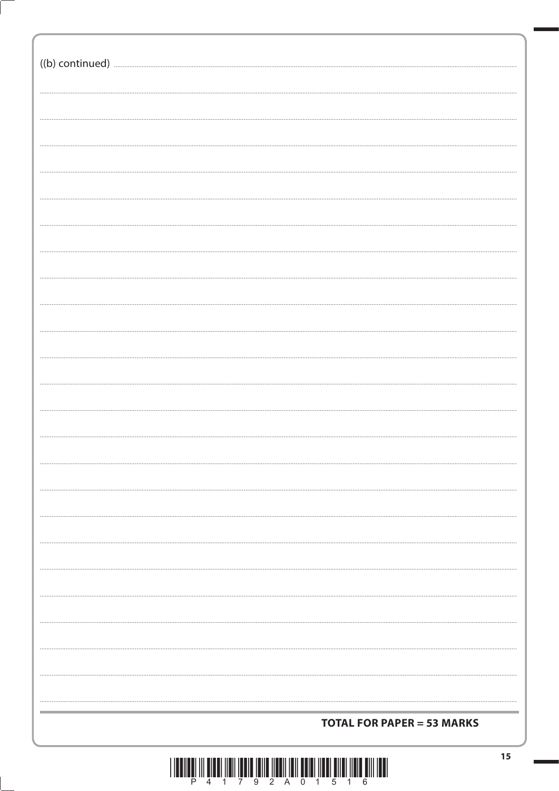|  |   | <u> Alian ili alah ilali tahun tahun 1991 tahun 1991 ditarikan dia masjid da</u> |
|--|---|----------------------------------------------------------------------------------|
|  | 5 |                                                                                  |
|  |   |                                                                                  |

| ٦ |                         |
|---|-------------------------|
|   | I<br>I<br>۰.<br>w<br>۰. |

| <b>TOTAL FOR PAPER = 53 MARKS</b><br>15 |  |
|-----------------------------------------|--|
|                                         |  |
|                                         |  |
|                                         |  |
|                                         |  |
|                                         |  |
|                                         |  |
|                                         |  |
|                                         |  |
|                                         |  |
|                                         |  |
|                                         |  |
|                                         |  |
|                                         |  |
|                                         |  |
|                                         |  |
|                                         |  |
|                                         |  |
|                                         |  |
|                                         |  |
|                                         |  |
|                                         |  |
|                                         |  |
|                                         |  |
|                                         |  |
|                                         |  |
|                                         |  |
|                                         |  |
|                                         |  |
|                                         |  |
|                                         |  |
|                                         |  |
|                                         |  |
|                                         |  |
|                                         |  |
|                                         |  |
|                                         |  |
|                                         |  |
|                                         |  |
|                                         |  |
|                                         |  |
|                                         |  |
|                                         |  |
|                                         |  |
|                                         |  |
|                                         |  |
|                                         |  |
|                                         |  |
|                                         |  |
|                                         |  |
|                                         |  |
|                                         |  |
|                                         |  |
|                                         |  |
|                                         |  |
|                                         |  |
|                                         |  |